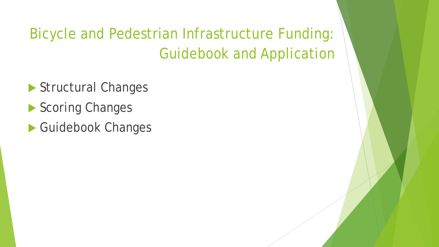#### Bicycle and Pedestrian Infrastructure Funding: Guidebook and Application

- Structural Changes
- Scoring Changes
- Guidebook Changes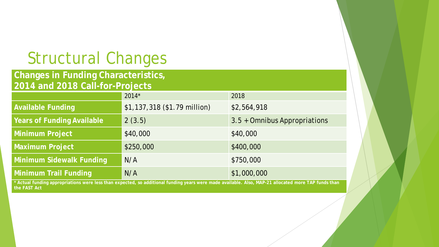#### Structural Changes

#### **Changes in Funding Characteristics, 2014 and 2018 Call-for-Projects**

|                                                                                                                                                      | $2014*$                      | 2018                         |
|------------------------------------------------------------------------------------------------------------------------------------------------------|------------------------------|------------------------------|
| <b>Available Funding</b>                                                                                                                             | \$1,137,318 (\$1.79 million) | \$2,564,918                  |
| <b>Years of Funding Available</b>                                                                                                                    | 2(3.5)                       | 3.5 + Omnibus Appropriations |
| Minimum Project                                                                                                                                      | \$40,000                     | \$40,000                     |
| <b>Maximum Project</b>                                                                                                                               | \$250,000                    | \$400,000                    |
| <b>Minimum Sidewalk Funding</b>                                                                                                                      | N/A                          | \$750,000                    |
| Minimum Trail Funding                                                                                                                                | N/A                          | \$1,000,000                  |
| * Actual funding appropriations were less than expected, so additional funding years were made available. Also, MAP-21 allocated more TAP funds than |                              |                              |

**the FAST Act**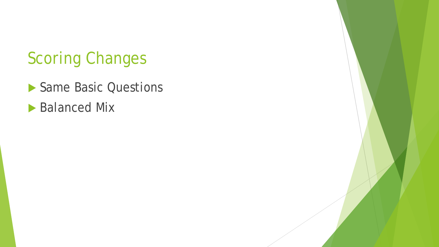- Same Basic Questions
- **Balanced Mix**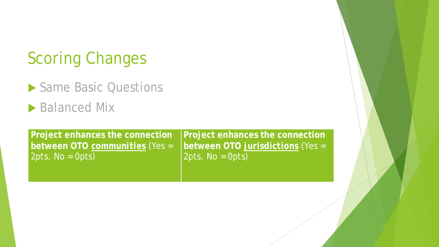- ▶ Same Basic Questions
- ▶ Balanced Mix

**Project enhances the connection between OTO** *communities* (Yes = 2pts, No = 0pts)

**Project enhances the connection between OTO** *jurisdictions* (Yes = 2pts, No = 0pts)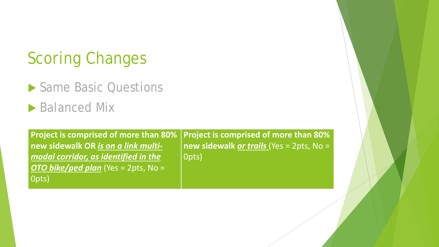▶ Same Basic Questions

**Balanced Mix** 

0pts)

**Project is comprised of more than 80% new sidewalk OR** *is on a link multimodal corridor, as identified in the OTO bike/ped plan* (Yes = 2pts, No = **Project is comprised of more than 80% new sidewalk** *or trails* (Yes = 2pts, No = 0pts)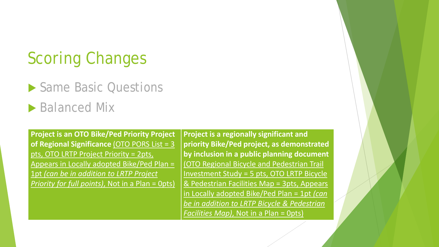▶ Same Basic Questions

**Balanced Mix** 

**Project is an OTO Bike/Ped Priority Project of Regional Significance** (OTO PORS List = 3 pts, OTO LRTP Project Priority = 2pts, Appears in Locally adopted Bike/Ped Plan = 1pt *(can be in addition to LRTP Project Priority for full points)*, Not in a Plan = 0pts)

**Project is a regionally significant and priority Bike/Ped project, as demonstrated by inclusion in a public planning document**  (OTO Regional Bicycle and Pedestrian Trail Investment Study = 5 pts, OTO LRTP Bicycle & Pedestrian Facilities Map = 3pts, Appears in Locally adopted Bike/Ped Plan = 1pt *(can be in addition to LRTP Bicycle & Pedestrian Facilities Map)*, Not in a Plan = 0pts)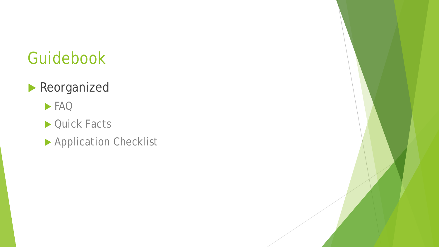#### Guidebook

#### **Reorganized**

#### FAQ

- ▶ Quick Facts
- **Application Checklist**